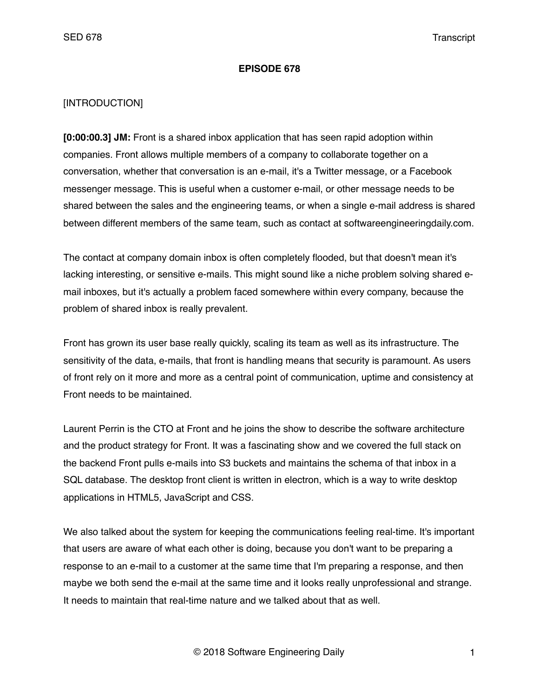#### **EPISODE 678**

#### [INTRODUCTION]

**[0:00:00.3] JM:** Front is a shared inbox application that has seen rapid adoption within companies. Front allows multiple members of a company to collaborate together on a conversation, whether that conversation is an e-mail, it's a Twitter message, or a Facebook messenger message. This is useful when a customer e-mail, or other message needs to be shared between the sales and the engineering teams, or when a single e-mail address is shared between different members of the same team, such as contact at softwareengineeringdaily.com.

The contact at company domain inbox is often completely flooded, but that doesn't mean it's lacking interesting, or sensitive e-mails. This might sound like a niche problem solving shared email inboxes, but it's actually a problem faced somewhere within every company, because the problem of shared inbox is really prevalent.

Front has grown its user base really quickly, scaling its team as well as its infrastructure. The sensitivity of the data, e-mails, that front is handling means that security is paramount. As users of front rely on it more and more as a central point of communication, uptime and consistency at Front needs to be maintained.

Laurent Perrin is the CTO at Front and he joins the show to describe the software architecture and the product strategy for Front. It was a fascinating show and we covered the full stack on the backend Front pulls e-mails into S3 buckets and maintains the schema of that inbox in a SQL database. The desktop front client is written in electron, which is a way to write desktop applications in HTML5, JavaScript and CSS.

We also talked about the system for keeping the communications feeling real-time. It's important that users are aware of what each other is doing, because you don't want to be preparing a response to an e-mail to a customer at the same time that I'm preparing a response, and then maybe we both send the e-mail at the same time and it looks really unprofessional and strange. It needs to maintain that real-time nature and we talked about that as well.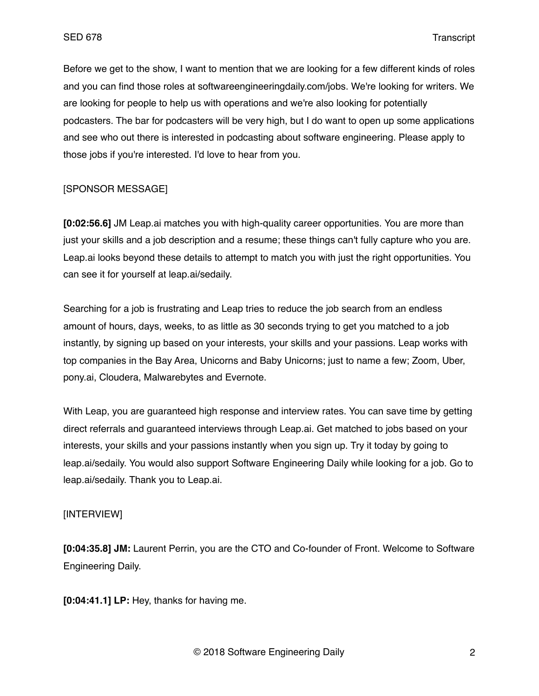Before we get to the show, I want to mention that we are looking for a few different kinds of roles and you can find those roles at softwareengineeringdaily.com/jobs. We're looking for writers. We are looking for people to help us with operations and we're also looking for potentially podcasters. The bar for podcasters will be very high, but I do want to open up some applications and see who out there is interested in podcasting about software engineering. Please apply to those jobs if you're interested. I'd love to hear from you.

## [SPONSOR MESSAGE]

**[0:02:56.6]** JM Leap.ai matches you with high-quality career opportunities. You are more than just your skills and a job description and a resume; these things can't fully capture who you are. Leap.ai looks beyond these details to attempt to match you with just the right opportunities. You can see it for yourself at leap.ai/sedaily.

Searching for a job is frustrating and Leap tries to reduce the job search from an endless amount of hours, days, weeks, to as little as 30 seconds trying to get you matched to a job instantly, by signing up based on your interests, your skills and your passions. Leap works with top companies in the Bay Area, Unicorns and Baby Unicorns; just to name a few; Zoom, Uber, pony.ai, Cloudera, Malwarebytes and Evernote.

With Leap, you are guaranteed high response and interview rates. You can save time by getting direct referrals and guaranteed interviews through Leap.ai. Get matched to jobs based on your interests, your skills and your passions instantly when you sign up. Try it today by going to leap.ai/sedaily. You would also support Software Engineering Daily while looking for a job. Go to leap.ai/sedaily. Thank you to Leap.ai.

### [INTERVIEW]

**[0:04:35.8] JM:** Laurent Perrin, you are the CTO and Co-founder of Front. Welcome to Software Engineering Daily.

**[0:04:41.1] LP:** Hey, thanks for having me.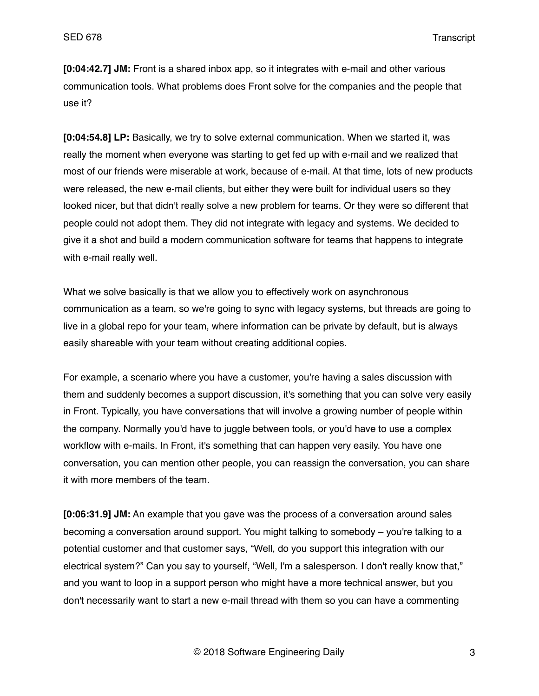**[0:04:42.7] JM:** Front is a shared inbox app, so it integrates with e-mail and other various communication tools. What problems does Front solve for the companies and the people that use it?

**[0:04:54.8] LP:** Basically, we try to solve external communication. When we started it, was really the moment when everyone was starting to get fed up with e-mail and we realized that most of our friends were miserable at work, because of e-mail. At that time, lots of new products were released, the new e-mail clients, but either they were built for individual users so they looked nicer, but that didn't really solve a new problem for teams. Or they were so different that people could not adopt them. They did not integrate with legacy and systems. We decided to give it a shot and build a modern communication software for teams that happens to integrate with e-mail really well.

What we solve basically is that we allow you to effectively work on asynchronous communication as a team, so we're going to sync with legacy systems, but threads are going to live in a global repo for your team, where information can be private by default, but is always easily shareable with your team without creating additional copies.

For example, a scenario where you have a customer, you're having a sales discussion with them and suddenly becomes a support discussion, it's something that you can solve very easily in Front. Typically, you have conversations that will involve a growing number of people within the company. Normally you'd have to juggle between tools, or you'd have to use a complex workflow with e-mails. In Front, it's something that can happen very easily. You have one conversation, you can mention other people, you can reassign the conversation, you can share it with more members of the team.

**[0:06:31.9] JM:** An example that you gave was the process of a conversation around sales becoming a conversation around support. You might talking to somebody – you're talking to a potential customer and that customer says, "Well, do you support this integration with our electrical system?" Can you say to yourself, "Well, I'm a salesperson. I don't really know that," and you want to loop in a support person who might have a more technical answer, but you don't necessarily want to start a new e-mail thread with them so you can have a commenting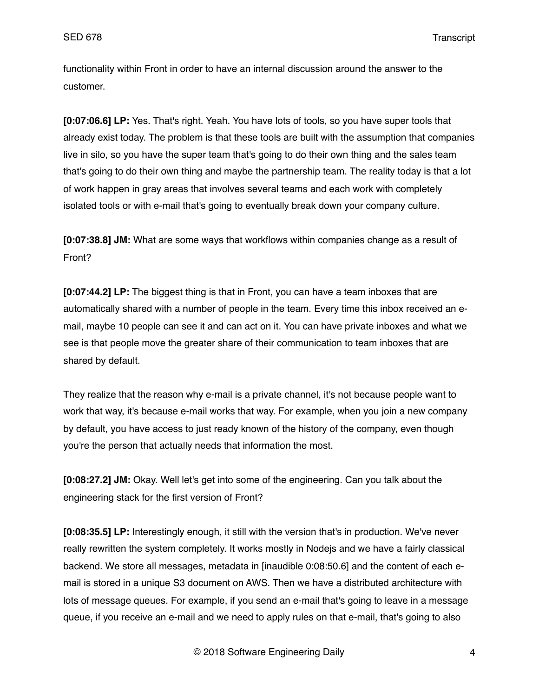functionality within Front in order to have an internal discussion around the answer to the customer.

**[0:07:06.6] LP:** Yes. That's right. Yeah. You have lots of tools, so you have super tools that already exist today. The problem is that these tools are built with the assumption that companies live in silo, so you have the super team that's going to do their own thing and the sales team that's going to do their own thing and maybe the partnership team. The reality today is that a lot of work happen in gray areas that involves several teams and each work with completely isolated tools or with e-mail that's going to eventually break down your company culture.

**[0:07:38.8] JM:** What are some ways that workflows within companies change as a result of Front?

**[0:07:44.2] LP:** The biggest thing is that in Front, you can have a team inboxes that are automatically shared with a number of people in the team. Every time this inbox received an email, maybe 10 people can see it and can act on it. You can have private inboxes and what we see is that people move the greater share of their communication to team inboxes that are shared by default.

They realize that the reason why e-mail is a private channel, it's not because people want to work that way, it's because e-mail works that way. For example, when you join a new company by default, you have access to just ready known of the history of the company, even though you're the person that actually needs that information the most.

**[0:08:27.2] JM:** Okay. Well let's get into some of the engineering. Can you talk about the engineering stack for the first version of Front?

**[0:08:35.5] LP:** Interestingly enough, it still with the version that's in production. We've never really rewritten the system completely. It works mostly in Nodejs and we have a fairly classical backend. We store all messages, metadata in [inaudible 0:08:50.6] and the content of each email is stored in a unique S3 document on AWS. Then we have a distributed architecture with lots of message queues. For example, if you send an e-mail that's going to leave in a message queue, if you receive an e-mail and we need to apply rules on that e-mail, that's going to also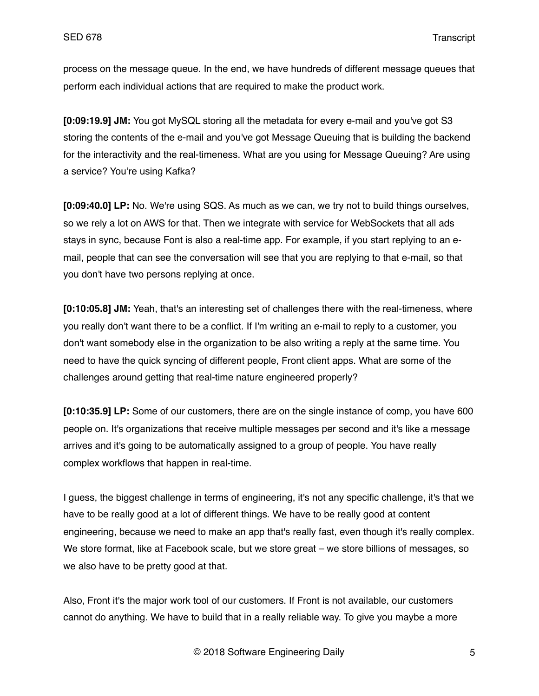process on the message queue. In the end, we have hundreds of different message queues that perform each individual actions that are required to make the product work.

**[0:09:19.9] JM:** You got MySQL storing all the metadata for every e-mail and you've got S3 storing the contents of the e-mail and you've got Message Queuing that is building the backend for the interactivity and the real-timeness. What are you using for Message Queuing? Are using a service? You're using Kafka?

**[0:09:40.0] LP:** No. We're using SQS. As much as we can, we try not to build things ourselves, so we rely a lot on AWS for that. Then we integrate with service for WebSockets that all ads stays in sync, because Font is also a real-time app. For example, if you start replying to an email, people that can see the conversation will see that you are replying to that e-mail, so that you don't have two persons replying at once.

**[0:10:05.8] JM:** Yeah, that's an interesting set of challenges there with the real-timeness, where you really don't want there to be a conflict. If I'm writing an e-mail to reply to a customer, you don't want somebody else in the organization to be also writing a reply at the same time. You need to have the quick syncing of different people, Front client apps. What are some of the challenges around getting that real-time nature engineered properly?

**[0:10:35.9] LP:** Some of our customers, there are on the single instance of comp, you have 600 people on. It's organizations that receive multiple messages per second and it's like a message arrives and it's going to be automatically assigned to a group of people. You have really complex workflows that happen in real-time.

I guess, the biggest challenge in terms of engineering, it's not any specific challenge, it's that we have to be really good at a lot of different things. We have to be really good at content engineering, because we need to make an app that's really fast, even though it's really complex. We store format, like at Facebook scale, but we store great – we store billions of messages, so we also have to be pretty good at that.

Also, Front it's the major work tool of our customers. If Front is not available, our customers cannot do anything. We have to build that in a really reliable way. To give you maybe a more

© 2018 Software Engineering Daily 5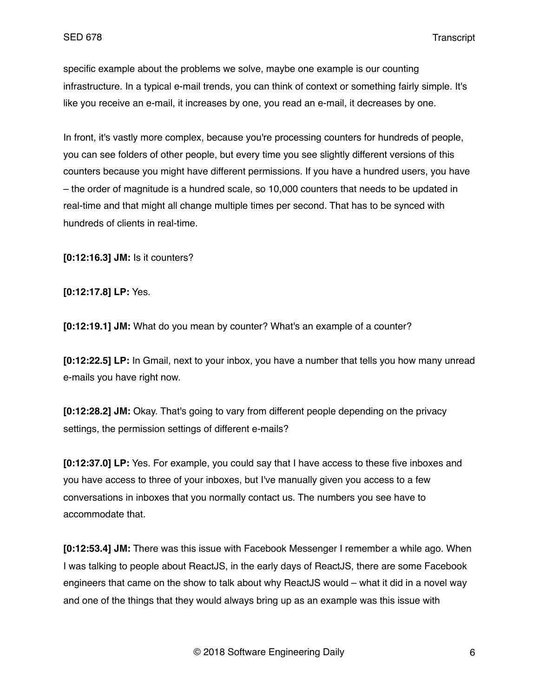specific example about the problems we solve, maybe one example is our counting infrastructure. In a typical e-mail trends, you can think of context or something fairly simple. It's like you receive an e-mail, it increases by one, you read an e-mail, it decreases by one.

In front, it's vastly more complex, because you're processing counters for hundreds of people, you can see folders of other people, but every time you see slightly different versions of this counters because you might have different permissions. If you have a hundred users, you have – the order of magnitude is a hundred scale, so 10,000 counters that needs to be updated in real-time and that might all change multiple times per second. That has to be synced with hundreds of clients in real-time.

**[0:12:16.3] JM:** Is it counters?

**[0:12:17.8] LP:** Yes.

**[0:12:19.1] JM:** What do you mean by counter? What's an example of a counter?

**[0:12:22.5] LP:** In Gmail, next to your inbox, you have a number that tells you how many unread e-mails you have right now.

**[0:12:28.2] JM:** Okay. That's going to vary from different people depending on the privacy settings, the permission settings of different e-mails?

**[0:12:37.0] LP:** Yes. For example, you could say that I have access to these five inboxes and you have access to three of your inboxes, but I've manually given you access to a few conversations in inboxes that you normally contact us. The numbers you see have to accommodate that.

**[0:12:53.4] JM:** There was this issue with Facebook Messenger I remember a while ago. When I was talking to people about ReactJS, in the early days of ReactJS, there are some Facebook engineers that came on the show to talk about why ReactJS would – what it did in a novel way and one of the things that they would always bring up as an example was this issue with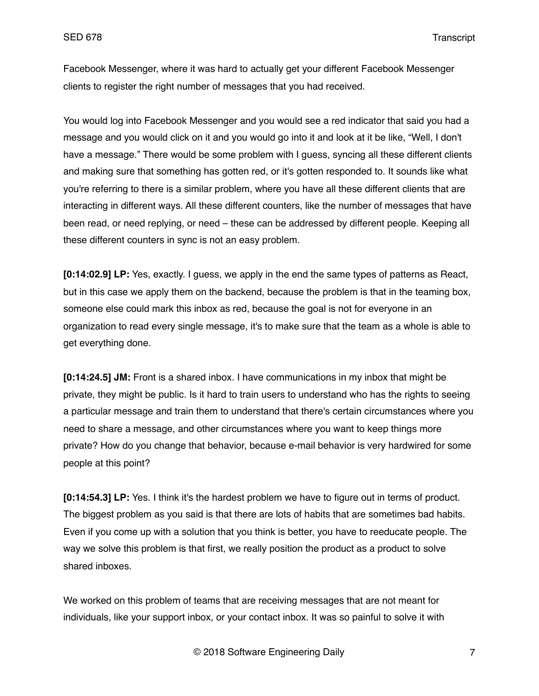Facebook Messenger, where it was hard to actually get your different Facebook Messenger clients to register the right number of messages that you had received.

You would log into Facebook Messenger and you would see a red indicator that said you had a message and you would click on it and you would go into it and look at it be like, "Well, I don't have a message." There would be some problem with I guess, syncing all these different clients and making sure that something has gotten red, or it's gotten responded to. It sounds like what you're referring to there is a similar problem, where you have all these different clients that are interacting in different ways. All these different counters, like the number of messages that have been read, or need replying, or need – these can be addressed by different people. Keeping all these different counters in sync is not an easy problem.

**[0:14:02.9] LP:** Yes, exactly. I guess, we apply in the end the same types of patterns as React, but in this case we apply them on the backend, because the problem is that in the teaming box, someone else could mark this inbox as red, because the goal is not for everyone in an organization to read every single message, it's to make sure that the team as a whole is able to get everything done.

**[0:14:24.5] JM:** Front is a shared inbox. I have communications in my inbox that might be private, they might be public. Is it hard to train users to understand who has the rights to seeing a particular message and train them to understand that there's certain circumstances where you need to share a message, and other circumstances where you want to keep things more private? How do you change that behavior, because e-mail behavior is very hardwired for some people at this point?

**[0:14:54.3] LP:** Yes. I think it's the hardest problem we have to figure out in terms of product. The biggest problem as you said is that there are lots of habits that are sometimes bad habits. Even if you come up with a solution that you think is better, you have to reeducate people. The way we solve this problem is that first, we really position the product as a product to solve shared inboxes.

We worked on this problem of teams that are receiving messages that are not meant for individuals, like your support inbox, or your contact inbox. It was so painful to solve it with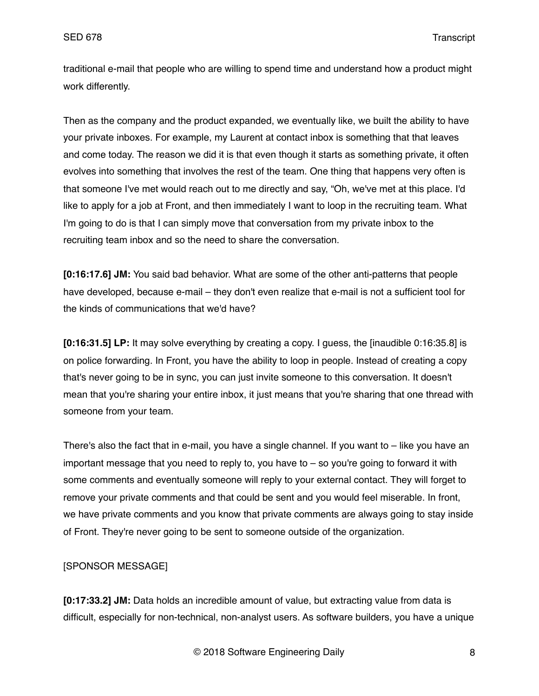traditional e-mail that people who are willing to spend time and understand how a product might work differently.

Then as the company and the product expanded, we eventually like, we built the ability to have your private inboxes. For example, my Laurent at contact inbox is something that that leaves and come today. The reason we did it is that even though it starts as something private, it often evolves into something that involves the rest of the team. One thing that happens very often is that someone I've met would reach out to me directly and say, "Oh, we've met at this place. I'd like to apply for a job at Front, and then immediately I want to loop in the recruiting team. What I'm going to do is that I can simply move that conversation from my private inbox to the recruiting team inbox and so the need to share the conversation.

**[0:16:17.6] JM:** You said bad behavior. What are some of the other anti-patterns that people have developed, because e-mail – they don't even realize that e-mail is not a sufficient tool for the kinds of communications that we'd have?

**[0:16:31.5] LP:** It may solve everything by creating a copy. I guess, the [inaudible 0:16:35.8] is on police forwarding. In Front, you have the ability to loop in people. Instead of creating a copy that's never going to be in sync, you can just invite someone to this conversation. It doesn't mean that you're sharing your entire inbox, it just means that you're sharing that one thread with someone from your team.

There's also the fact that in e-mail, you have a single channel. If you want to – like you have an important message that you need to reply to, you have to  $-$  so you're going to forward it with some comments and eventually someone will reply to your external contact. They will forget to remove your private comments and that could be sent and you would feel miserable. In front, we have private comments and you know that private comments are always going to stay inside of Front. They're never going to be sent to someone outside of the organization.

## [SPONSOR MESSAGE]

**[0:17:33.2] JM:** Data holds an incredible amount of value, but extracting value from data is difficult, especially for non-technical, non-analyst users. As software builders, you have a unique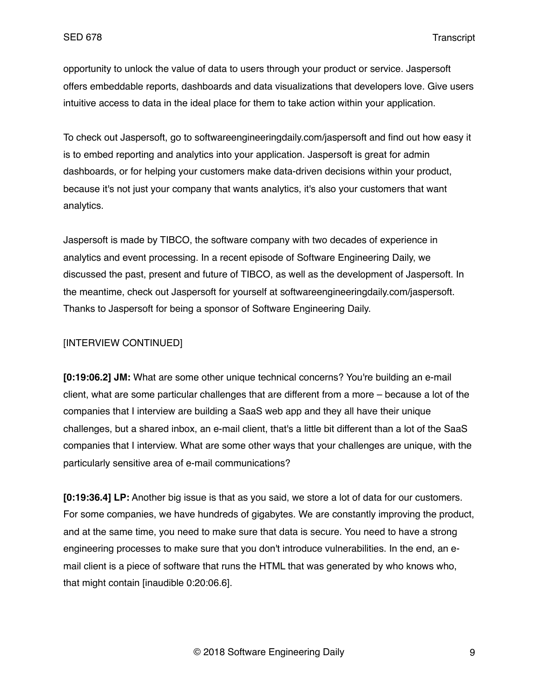opportunity to unlock the value of data to users through your product or service. Jaspersoft offers embeddable reports, dashboards and data visualizations that developers love. Give users intuitive access to data in the ideal place for them to take action within your application.

To check out Jaspersoft, go to softwareengineeringdaily.com/jaspersoft and find out how easy it is to embed reporting and analytics into your application. Jaspersoft is great for admin dashboards, or for helping your customers make data-driven decisions within your product, because it's not just your company that wants analytics, it's also your customers that want analytics.

Jaspersoft is made by TIBCO, the software company with two decades of experience in analytics and event processing. In a recent episode of Software Engineering Daily, we discussed the past, present and future of TIBCO, as well as the development of Jaspersoft. In the meantime, check out Jaspersoft for yourself at softwareengineeringdaily.com/jaspersoft. Thanks to Jaspersoft for being a sponsor of Software Engineering Daily.

### [INTERVIEW CONTINUED]

**[0:19:06.2] JM:** What are some other unique technical concerns? You're building an e-mail client, what are some particular challenges that are different from a more – because a lot of the companies that I interview are building a SaaS web app and they all have their unique challenges, but a shared inbox, an e-mail client, that's a little bit different than a lot of the SaaS companies that I interview. What are some other ways that your challenges are unique, with the particularly sensitive area of e-mail communications?

**[0:19:36.4] LP:** Another big issue is that as you said, we store a lot of data for our customers. For some companies, we have hundreds of gigabytes. We are constantly improving the product, and at the same time, you need to make sure that data is secure. You need to have a strong engineering processes to make sure that you don't introduce vulnerabilities. In the end, an email client is a piece of software that runs the HTML that was generated by who knows who, that might contain [inaudible 0:20:06.6].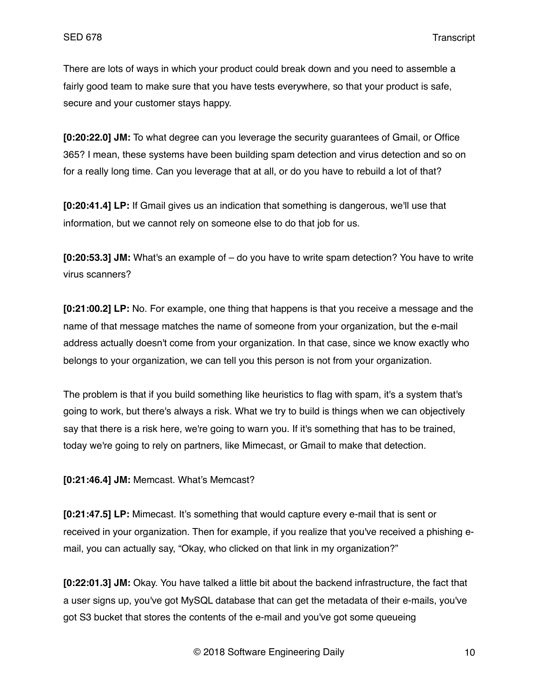There are lots of ways in which your product could break down and you need to assemble a fairly good team to make sure that you have tests everywhere, so that your product is safe, secure and your customer stays happy.

**[0:20:22.0] JM:** To what degree can you leverage the security guarantees of Gmail, or Office 365? I mean, these systems have been building spam detection and virus detection and so on for a really long time. Can you leverage that at all, or do you have to rebuild a lot of that?

**[0:20:41.4] LP:** If Gmail gives us an indication that something is dangerous, we'll use that information, but we cannot rely on someone else to do that job for us.

**[0:20:53.3] JM:** What's an example of – do you have to write spam detection? You have to write virus scanners?

**[0:21:00.2] LP:** No. For example, one thing that happens is that you receive a message and the name of that message matches the name of someone from your organization, but the e-mail address actually doesn't come from your organization. In that case, since we know exactly who belongs to your organization, we can tell you this person is not from your organization.

The problem is that if you build something like heuristics to flag with spam, it's a system that's going to work, but there's always a risk. What we try to build is things when we can objectively say that there is a risk here, we're going to warn you. If it's something that has to be trained, today we're going to rely on partners, like Mimecast, or Gmail to make that detection.

**[0:21:46.4] JM:** Memcast. What's Memcast?

**[0:21:47.5] LP:** Mimecast. It's something that would capture every e-mail that is sent or received in your organization. Then for example, if you realize that you've received a phishing email, you can actually say, "Okay, who clicked on that link in my organization?"

**[0:22:01.3] JM:** Okay. You have talked a little bit about the backend infrastructure, the fact that a user signs up, you've got MySQL database that can get the metadata of their e-mails, you've got S3 bucket that stores the contents of the e-mail and you've got some queueing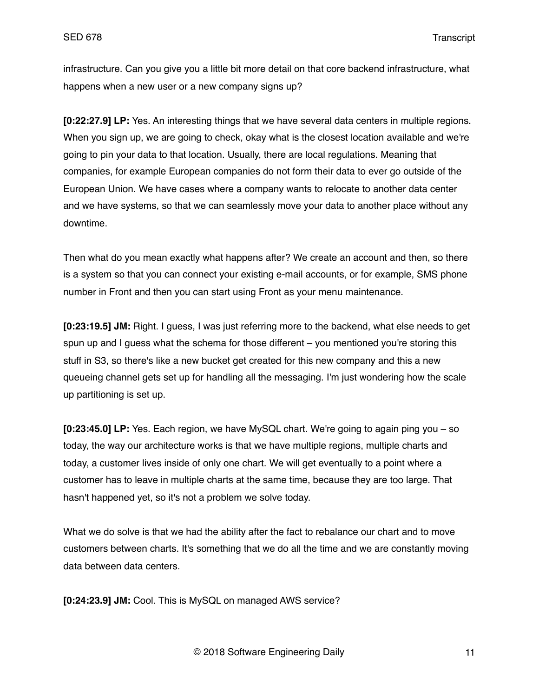infrastructure. Can you give you a little bit more detail on that core backend infrastructure, what happens when a new user or a new company signs up?

**[0:22:27.9] LP:** Yes. An interesting things that we have several data centers in multiple regions. When you sign up, we are going to check, okay what is the closest location available and we're going to pin your data to that location. Usually, there are local regulations. Meaning that companies, for example European companies do not form their data to ever go outside of the European Union. We have cases where a company wants to relocate to another data center and we have systems, so that we can seamlessly move your data to another place without any downtime.

Then what do you mean exactly what happens after? We create an account and then, so there is a system so that you can connect your existing e-mail accounts, or for example, SMS phone number in Front and then you can start using Front as your menu maintenance.

**[0:23:19.5] JM:** Right. I guess, I was just referring more to the backend, what else needs to get spun up and I guess what the schema for those different – you mentioned you're storing this stuff in S3, so there's like a new bucket get created for this new company and this a new queueing channel gets set up for handling all the messaging. I'm just wondering how the scale up partitioning is set up.

**[0:23:45.0] LP:** Yes. Each region, we have MySQL chart. We're going to again ping you – so today, the way our architecture works is that we have multiple regions, multiple charts and today, a customer lives inside of only one chart. We will get eventually to a point where a customer has to leave in multiple charts at the same time, because they are too large. That hasn't happened yet, so it's not a problem we solve today.

What we do solve is that we had the ability after the fact to rebalance our chart and to move customers between charts. It's something that we do all the time and we are constantly moving data between data centers.

**[0:24:23.9] JM:** Cool. This is MySQL on managed AWS service?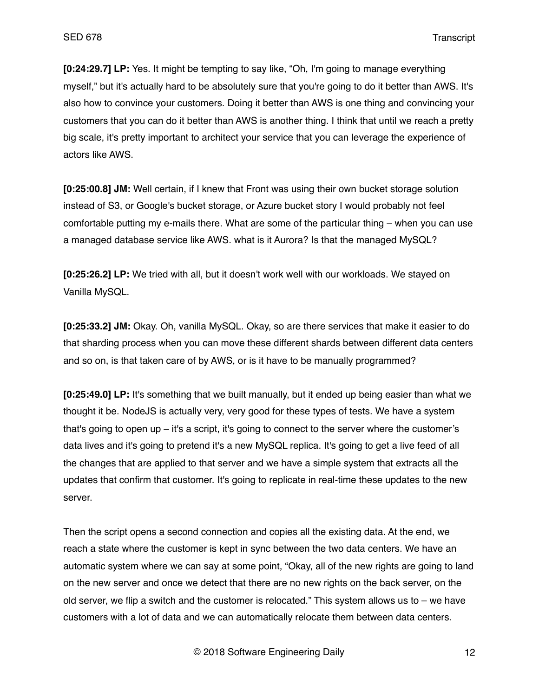**[0:24:29.7] LP:** Yes. It might be tempting to say like, "Oh, I'm going to manage everything myself," but it's actually hard to be absolutely sure that you're going to do it better than AWS. It's also how to convince your customers. Doing it better than AWS is one thing and convincing your customers that you can do it better than AWS is another thing. I think that until we reach a pretty big scale, it's pretty important to architect your service that you can leverage the experience of actors like AWS.

**[0:25:00.8] JM:** Well certain, if I knew that Front was using their own bucket storage solution instead of S3, or Google's bucket storage, or Azure bucket story I would probably not feel comfortable putting my e-mails there. What are some of the particular thing – when you can use a managed database service like AWS. what is it Aurora? Is that the managed MySQL?

**[0:25:26.2] LP:** We tried with all, but it doesn't work well with our workloads. We stayed on Vanilla MySQL.

**[0:25:33.2] JM:** Okay. Oh, vanilla MySQL. Okay, so are there services that make it easier to do that sharding process when you can move these different shards between different data centers and so on, is that taken care of by AWS, or is it have to be manually programmed?

**[0:25:49.0] LP:** It's something that we built manually, but it ended up being easier than what we thought it be. NodeJS is actually very, very good for these types of tests. We have a system that's going to open up – it's a script, it's going to connect to the server where the customer's data lives and it's going to pretend it's a new MySQL replica. It's going to get a live feed of all the changes that are applied to that server and we have a simple system that extracts all the updates that confirm that customer. It's going to replicate in real-time these updates to the new server.

Then the script opens a second connection and copies all the existing data. At the end, we reach a state where the customer is kept in sync between the two data centers. We have an automatic system where we can say at some point, "Okay, all of the new rights are going to land on the new server and once we detect that there are no new rights on the back server, on the old server, we flip a switch and the customer is relocated." This system allows us to – we have customers with a lot of data and we can automatically relocate them between data centers.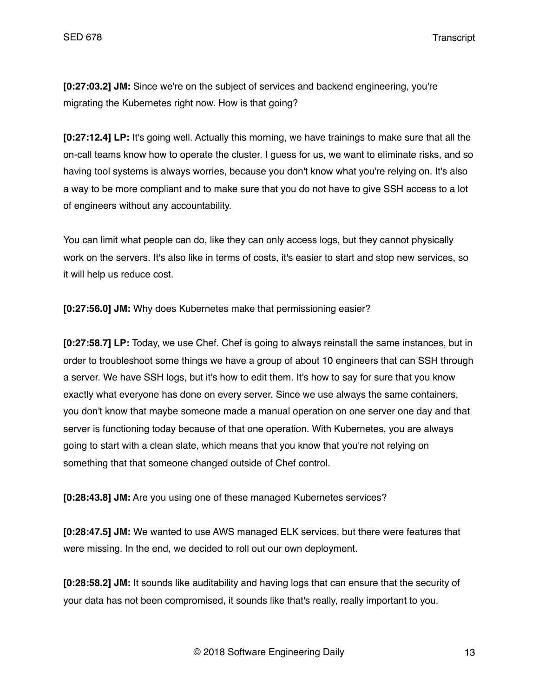**[0:27:03.2] JM:** Since we're on the subject of services and backend engineering, you're migrating the Kubernetes right now. How is that going?

**[0:27:12.4] LP:** It's going well. Actually this morning, we have trainings to make sure that all the on-call teams know how to operate the cluster. I guess for us, we want to eliminate risks, and so having tool systems is always worries, because you don't know what you're relying on. It's also a way to be more compliant and to make sure that you do not have to give SSH access to a lot of engineers without any accountability.

You can limit what people can do, like they can only access logs, but they cannot physically work on the servers. It's also like in terms of costs, it's easier to start and stop new services, so it will help us reduce cost.

**[0:27:56.0] JM:** Why does Kubernetes make that permissioning easier?

**[0:27:58.7] LP:** Today, we use Chef. Chef is going to always reinstall the same instances, but in order to troubleshoot some things we have a group of about 10 engineers that can SSH through a server. We have SSH logs, but it's how to edit them. It's how to say for sure that you know exactly what everyone has done on every server. Since we use always the same containers, you don't know that maybe someone made a manual operation on one server one day and that server is functioning today because of that one operation. With Kubernetes, you are always going to start with a clean slate, which means that you know that you're not relying on something that that someone changed outside of Chef control.

**[0:28:43.8] JM:** Are you using one of these managed Kubernetes services?

**[0:28:47.5] JM:** We wanted to use AWS managed ELK services, but there were features that were missing. In the end, we decided to roll out our own deployment.

**[0:28:58.2] JM:** It sounds like auditability and having logs that can ensure that the security of your data has not been compromised, it sounds like that's really, really important to you.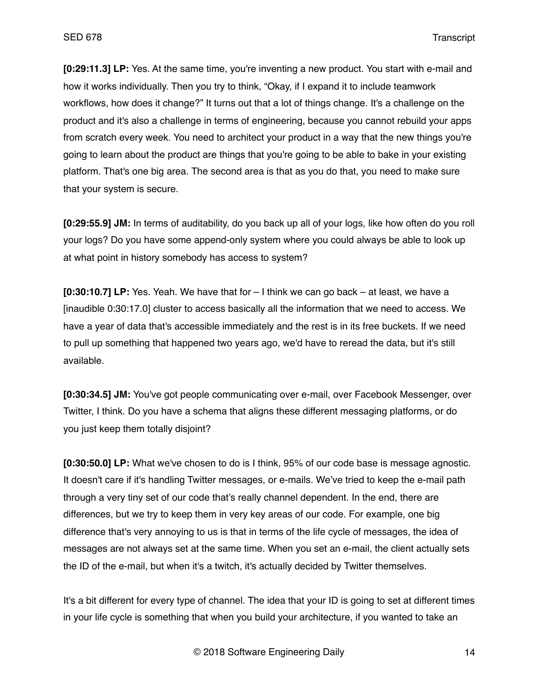**[0:29:11.3] LP:** Yes. At the same time, you're inventing a new product. You start with e-mail and how it works individually. Then you try to think, "Okay, if I expand it to include teamwork workflows, how does it change?" It turns out that a lot of things change. It's a challenge on the product and it's also a challenge in terms of engineering, because you cannot rebuild your apps from scratch every week. You need to architect your product in a way that the new things you're going to learn about the product are things that you're going to be able to bake in your existing platform. That's one big area. The second area is that as you do that, you need to make sure that your system is secure.

**[0:29:55.9] JM:** In terms of auditability, do you back up all of your logs, like how often do you roll your logs? Do you have some append-only system where you could always be able to look up at what point in history somebody has access to system?

**[0:30:10.7] LP:** Yes. Yeah. We have that for – I think we can go back – at least, we have a [inaudible 0:30:17.0] cluster to access basically all the information that we need to access. We have a year of data that's accessible immediately and the rest is in its free buckets. If we need to pull up something that happened two years ago, we'd have to reread the data, but it's still available.

**[0:30:34.5] JM:** You've got people communicating over e-mail, over Facebook Messenger, over Twitter, I think. Do you have a schema that aligns these different messaging platforms, or do you just keep them totally disjoint?

**[0:30:50.0] LP:** What we've chosen to do is I think, 95% of our code base is message agnostic. It doesn't care if it's handling Twitter messages, or e-mails. We've tried to keep the e-mail path through a very tiny set of our code that's really channel dependent. In the end, there are differences, but we try to keep them in very key areas of our code. For example, one big difference that's very annoying to us is that in terms of the life cycle of messages, the idea of messages are not always set at the same time. When you set an e-mail, the client actually sets the ID of the e-mail, but when it's a twitch, it's actually decided by Twitter themselves.

It's a bit different for every type of channel. The idea that your ID is going to set at different times in your life cycle is something that when you build your architecture, if you wanted to take an

© 2018 Software Engineering Daily 14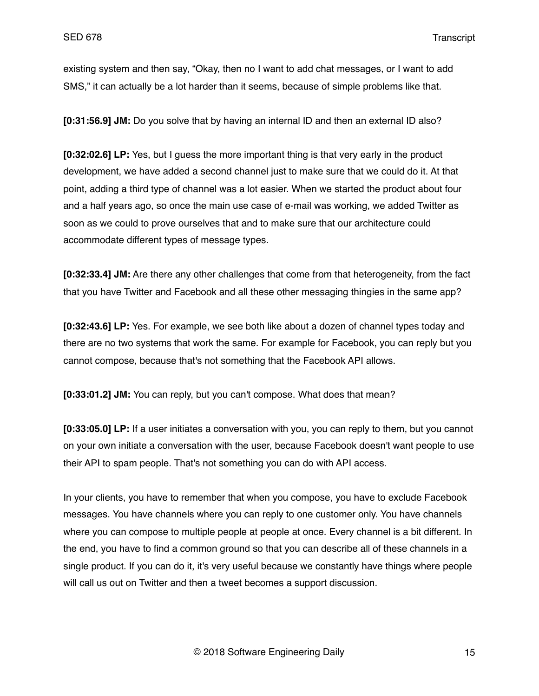existing system and then say, "Okay, then no I want to add chat messages, or I want to add SMS," it can actually be a lot harder than it seems, because of simple problems like that.

**[0:31:56.9] JM:** Do you solve that by having an internal ID and then an external ID also?

**[0:32:02.6] LP:** Yes, but I guess the more important thing is that very early in the product development, we have added a second channel just to make sure that we could do it. At that point, adding a third type of channel was a lot easier. When we started the product about four and a half years ago, so once the main use case of e-mail was working, we added Twitter as soon as we could to prove ourselves that and to make sure that our architecture could accommodate different types of message types.

**[0:32:33.4] JM:** Are there any other challenges that come from that heterogeneity, from the fact that you have Twitter and Facebook and all these other messaging thingies in the same app?

**[0:32:43.6] LP:** Yes. For example, we see both like about a dozen of channel types today and there are no two systems that work the same. For example for Facebook, you can reply but you cannot compose, because that's not something that the Facebook API allows.

**[0:33:01.2] JM:** You can reply, but you can't compose. What does that mean?

**[0:33:05.0] LP:** If a user initiates a conversation with you, you can reply to them, but you cannot on your own initiate a conversation with the user, because Facebook doesn't want people to use their API to spam people. That's not something you can do with API access.

In your clients, you have to remember that when you compose, you have to exclude Facebook messages. You have channels where you can reply to one customer only. You have channels where you can compose to multiple people at people at once. Every channel is a bit different. In the end, you have to find a common ground so that you can describe all of these channels in a single product. If you can do it, it's very useful because we constantly have things where people will call us out on Twitter and then a tweet becomes a support discussion.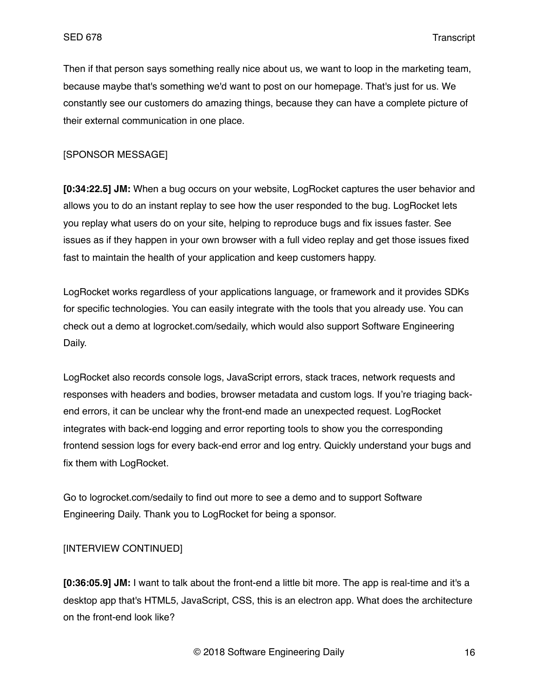Then if that person says something really nice about us, we want to loop in the marketing team, because maybe that's something we'd want to post on our homepage. That's just for us. We constantly see our customers do amazing things, because they can have a complete picture of their external communication in one place.

### [SPONSOR MESSAGE]

**[0:34:22.5] JM:** When a bug occurs on your website, LogRocket captures the user behavior and allows you to do an instant replay to see how the user responded to the bug. LogRocket lets you replay what users do on your site, helping to reproduce bugs and fix issues faster. See issues as if they happen in your own browser with a full video replay and get those issues fixed fast to maintain the health of your application and keep customers happy.

LogRocket works regardless of your applications language, or framework and it provides SDKs for specific technologies. You can easily integrate with the tools that you already use. You can check out a demo at logrocket.com/sedaily, which would also support Software Engineering Daily.

LogRocket also records console logs, JavaScript errors, stack traces, network requests and responses with headers and bodies, browser metadata and custom logs. If you're triaging backend errors, it can be unclear why the front-end made an unexpected request. LogRocket integrates with back-end logging and error reporting tools to show you the corresponding frontend session logs for every back-end error and log entry. Quickly understand your bugs and fix them with LogRocket.

Go to logrocket.com/sedaily to find out more to see a demo and to support Software Engineering Daily. Thank you to LogRocket for being a sponsor.

# [INTERVIEW CONTINUED]

**[0:36:05.9] JM:** I want to talk about the front-end a little bit more. The app is real-time and it's a desktop app that's HTML5, JavaScript, CSS, this is an electron app. What does the architecture on the front-end look like?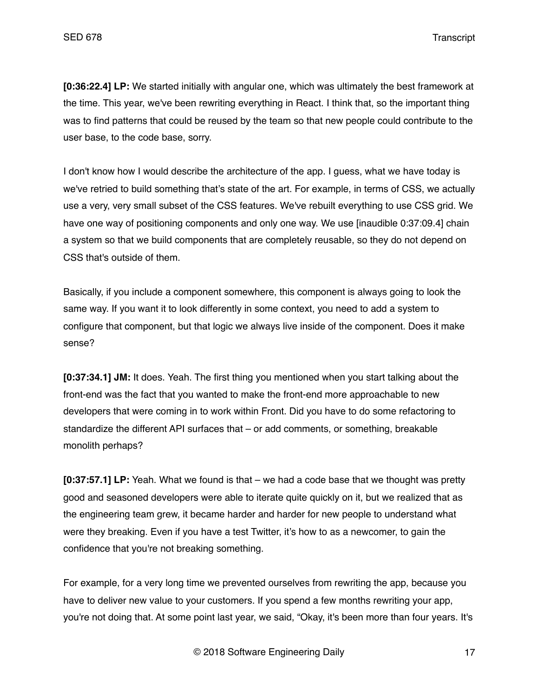**[0:36:22.4] LP:** We started initially with angular one, which was ultimately the best framework at the time. This year, we've been rewriting everything in React. I think that, so the important thing was to find patterns that could be reused by the team so that new people could contribute to the user base, to the code base, sorry.

I don't know how I would describe the architecture of the app. I guess, what we have today is we've retried to build something that's state of the art. For example, in terms of CSS, we actually use a very, very small subset of the CSS features. We've rebuilt everything to use CSS grid. We have one way of positioning components and only one way. We use linaudible 0:37:09.4] chain a system so that we build components that are completely reusable, so they do not depend on CSS that's outside of them.

Basically, if you include a component somewhere, this component is always going to look the same way. If you want it to look differently in some context, you need to add a system to configure that component, but that logic we always live inside of the component. Does it make sense?

**[0:37:34.1] JM:** It does. Yeah. The first thing you mentioned when you start talking about the front-end was the fact that you wanted to make the front-end more approachable to new developers that were coming in to work within Front. Did you have to do some refactoring to standardize the different API surfaces that – or add comments, or something, breakable monolith perhaps?

**[0:37:57.1] LP:** Yeah. What we found is that – we had a code base that we thought was pretty good and seasoned developers were able to iterate quite quickly on it, but we realized that as the engineering team grew, it became harder and harder for new people to understand what were they breaking. Even if you have a test Twitter, it's how to as a newcomer, to gain the confidence that you're not breaking something.

For example, for a very long time we prevented ourselves from rewriting the app, because you have to deliver new value to your customers. If you spend a few months rewriting your app, you're not doing that. At some point last year, we said, "Okay, it's been more than four years. It's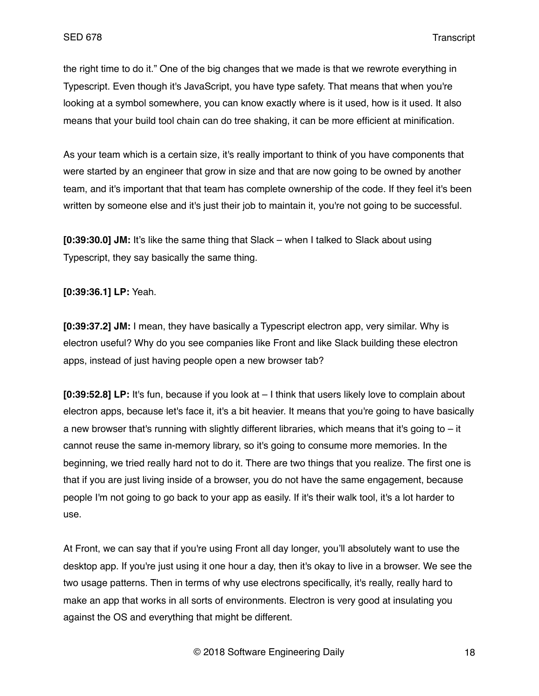the right time to do it." One of the big changes that we made is that we rewrote everything in Typescript. Even though it's JavaScript, you have type safety. That means that when you're looking at a symbol somewhere, you can know exactly where is it used, how is it used. It also means that your build tool chain can do tree shaking, it can be more efficient at minification.

As your team which is a certain size, it's really important to think of you have components that were started by an engineer that grow in size and that are now going to be owned by another team, and it's important that that team has complete ownership of the code. If they feel it's been written by someone else and it's just their job to maintain it, you're not going to be successful.

**[0:39:30.0] JM:** It's like the same thing that Slack – when I talked to Slack about using Typescript, they say basically the same thing.

**[0:39:36.1] LP:** Yeah.

**[0:39:37.2] JM:** I mean, they have basically a Typescript electron app, very similar. Why is electron useful? Why do you see companies like Front and like Slack building these electron apps, instead of just having people open a new browser tab?

**[0:39:52.8] LP:** It's fun, because if you look at – I think that users likely love to complain about electron apps, because let's face it, it's a bit heavier. It means that you're going to have basically a new browser that's running with slightly different libraries, which means that it's going to  $-$  it cannot reuse the same in-memory library, so it's going to consume more memories. In the beginning, we tried really hard not to do it. There are two things that you realize. The first one is that if you are just living inside of a browser, you do not have the same engagement, because people I'm not going to go back to your app as easily. If it's their walk tool, it's a lot harder to use.

At Front, we can say that if you're using Front all day longer, you'll absolutely want to use the desktop app. If you're just using it one hour a day, then it's okay to live in a browser. We see the two usage patterns. Then in terms of why use electrons specifically, it's really, really hard to make an app that works in all sorts of environments. Electron is very good at insulating you against the OS and everything that might be different.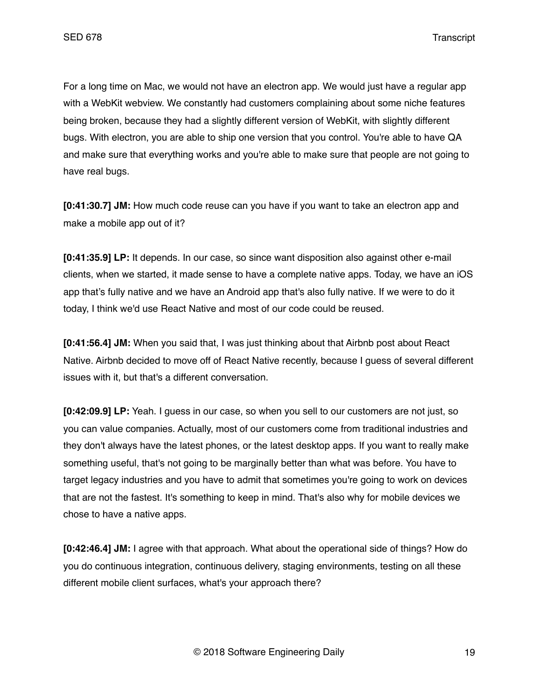For a long time on Mac, we would not have an electron app. We would just have a regular app with a WebKit webview. We constantly had customers complaining about some niche features being broken, because they had a slightly different version of WebKit, with slightly different bugs. With electron, you are able to ship one version that you control. You're able to have QA and make sure that everything works and you're able to make sure that people are not going to have real bugs.

**[0:41:30.7] JM:** How much code reuse can you have if you want to take an electron app and make a mobile app out of it?

**[0:41:35.9] LP:** It depends. In our case, so since want disposition also against other e-mail clients, when we started, it made sense to have a complete native apps. Today, we have an iOS app that's fully native and we have an Android app that's also fully native. If we were to do it today, I think we'd use React Native and most of our code could be reused.

**[0:41:56.4] JM:** When you said that, I was just thinking about that Airbnb post about React Native. Airbnb decided to move off of React Native recently, because I guess of several different issues with it, but that's a different conversation.

**[0:42:09.9] LP:** Yeah. I guess in our case, so when you sell to our customers are not just, so you can value companies. Actually, most of our customers come from traditional industries and they don't always have the latest phones, or the latest desktop apps. If you want to really make something useful, that's not going to be marginally better than what was before. You have to target legacy industries and you have to admit that sometimes you're going to work on devices that are not the fastest. It's something to keep in mind. That's also why for mobile devices we chose to have a native apps.

**[0:42:46.4] JM:** I agree with that approach. What about the operational side of things? How do you do continuous integration, continuous delivery, staging environments, testing on all these different mobile client surfaces, what's your approach there?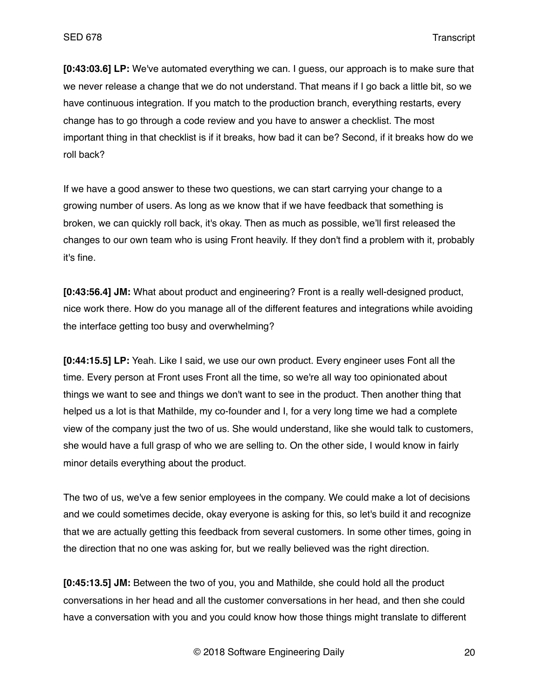**[0:43:03.6] LP:** We've automated everything we can. I guess, our approach is to make sure that we never release a change that we do not understand. That means if I go back a little bit, so we have continuous integration. If you match to the production branch, everything restarts, every change has to go through a code review and you have to answer a checklist. The most important thing in that checklist is if it breaks, how bad it can be? Second, if it breaks how do we roll back?

If we have a good answer to these two questions, we can start carrying your change to a growing number of users. As long as we know that if we have feedback that something is broken, we can quickly roll back, it's okay. Then as much as possible, we'll first released the changes to our own team who is using Front heavily. If they don't find a problem with it, probably it's fine.

**[0:43:56.4] JM:** What about product and engineering? Front is a really well-designed product, nice work there. How do you manage all of the different features and integrations while avoiding the interface getting too busy and overwhelming?

**[0:44:15.5] LP:** Yeah. Like I said, we use our own product. Every engineer uses Font all the time. Every person at Front uses Front all the time, so we're all way too opinionated about things we want to see and things we don't want to see in the product. Then another thing that helped us a lot is that Mathilde, my co-founder and I, for a very long time we had a complete view of the company just the two of us. She would understand, like she would talk to customers, she would have a full grasp of who we are selling to. On the other side, I would know in fairly minor details everything about the product.

The two of us, we've a few senior employees in the company. We could make a lot of decisions and we could sometimes decide, okay everyone is asking for this, so let's build it and recognize that we are actually getting this feedback from several customers. In some other times, going in the direction that no one was asking for, but we really believed was the right direction.

**[0:45:13.5] JM:** Between the two of you, you and Mathilde, she could hold all the product conversations in her head and all the customer conversations in her head, and then she could have a conversation with you and you could know how those things might translate to different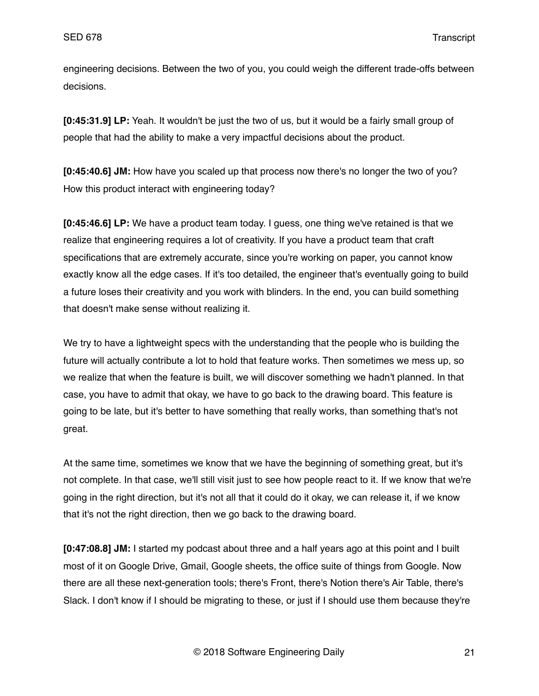engineering decisions. Between the two of you, you could weigh the different trade-offs between decisions.

**[0:45:31.9] LP:** Yeah. It wouldn't be just the two of us, but it would be a fairly small group of people that had the ability to make a very impactful decisions about the product.

**[0:45:40.6] JM:** How have you scaled up that process now there's no longer the two of you? How this product interact with engineering today?

**[0:45:46.6] LP:** We have a product team today. I guess, one thing we've retained is that we realize that engineering requires a lot of creativity. If you have a product team that craft specifications that are extremely accurate, since you're working on paper, you cannot know exactly know all the edge cases. If it's too detailed, the engineer that's eventually going to build a future loses their creativity and you work with blinders. In the end, you can build something that doesn't make sense without realizing it.

We try to have a lightweight specs with the understanding that the people who is building the future will actually contribute a lot to hold that feature works. Then sometimes we mess up, so we realize that when the feature is built, we will discover something we hadn't planned. In that case, you have to admit that okay, we have to go back to the drawing board. This feature is going to be late, but it's better to have something that really works, than something that's not great.

At the same time, sometimes we know that we have the beginning of something great, but it's not complete. In that case, we'll still visit just to see how people react to it. If we know that we're going in the right direction, but it's not all that it could do it okay, we can release it, if we know that it's not the right direction, then we go back to the drawing board.

**[0:47:08.8] JM:** I started my podcast about three and a half years ago at this point and I built most of it on Google Drive, Gmail, Google sheets, the office suite of things from Google. Now there are all these next-generation tools; there's Front, there's Notion there's Air Table, there's Slack. I don't know if I should be migrating to these, or just if I should use them because they're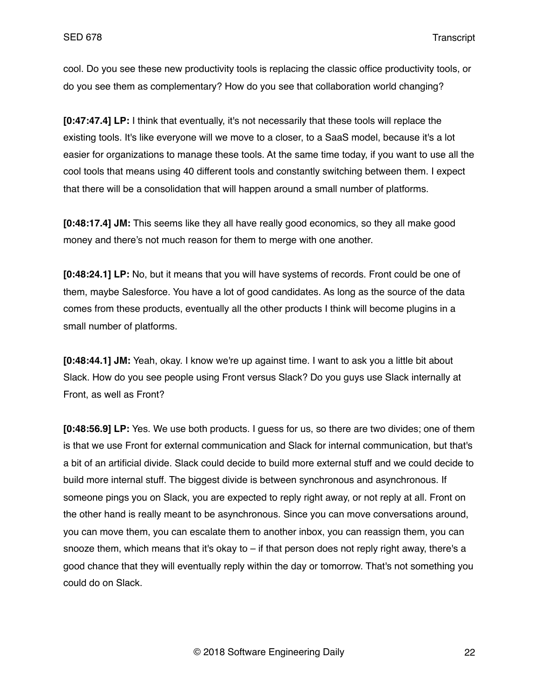cool. Do you see these new productivity tools is replacing the classic office productivity tools, or do you see them as complementary? How do you see that collaboration world changing?

**[0:47:47.4] LP:** I think that eventually, it's not necessarily that these tools will replace the existing tools. It's like everyone will we move to a closer, to a SaaS model, because it's a lot easier for organizations to manage these tools. At the same time today, if you want to use all the cool tools that means using 40 different tools and constantly switching between them. I expect that there will be a consolidation that will happen around a small number of platforms.

**[0:48:17.4] JM:** This seems like they all have really good economics, so they all make good money and there's not much reason for them to merge with one another.

**[0:48:24.1] LP:** No, but it means that you will have systems of records. Front could be one of them, maybe Salesforce. You have a lot of good candidates. As long as the source of the data comes from these products, eventually all the other products I think will become plugins in a small number of platforms.

**[0:48:44.1] JM:** Yeah, okay. I know we're up against time. I want to ask you a little bit about Slack. How do you see people using Front versus Slack? Do you guys use Slack internally at Front, as well as Front?

**[0:48:56.9] LP:** Yes. We use both products. I guess for us, so there are two divides; one of them is that we use Front for external communication and Slack for internal communication, but that's a bit of an artificial divide. Slack could decide to build more external stuff and we could decide to build more internal stuff. The biggest divide is between synchronous and asynchronous. If someone pings you on Slack, you are expected to reply right away, or not reply at all. Front on the other hand is really meant to be asynchronous. Since you can move conversations around, you can move them, you can escalate them to another inbox, you can reassign them, you can snooze them, which means that it's okay to – if that person does not reply right away, there's a good chance that they will eventually reply within the day or tomorrow. That's not something you could do on Slack.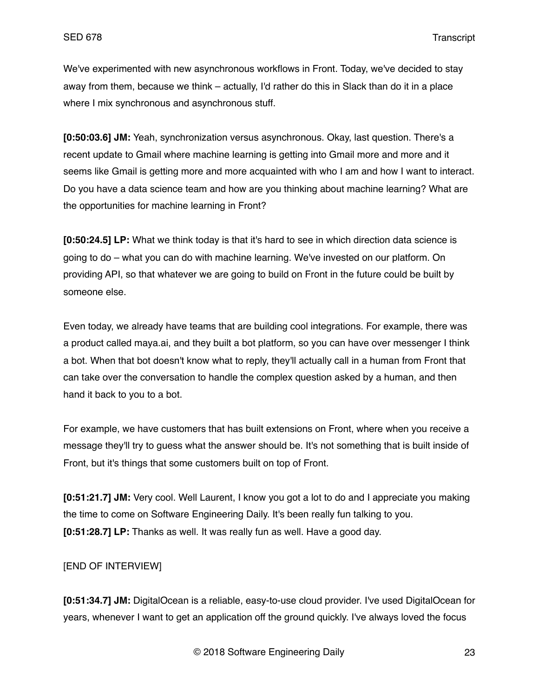We've experimented with new asynchronous workflows in Front. Today, we've decided to stay away from them, because we think – actually, I'd rather do this in Slack than do it in a place where I mix synchronous and asynchronous stuff.

**[0:50:03.6] JM:** Yeah, synchronization versus asynchronous. Okay, last question. There's a recent update to Gmail where machine learning is getting into Gmail more and more and it seems like Gmail is getting more and more acquainted with who I am and how I want to interact. Do you have a data science team and how are you thinking about machine learning? What are the opportunities for machine learning in Front?

**[0:50:24.5] LP:** What we think today is that it's hard to see in which direction data science is going to do – what you can do with machine learning. We've invested on our platform. On providing API, so that whatever we are going to build on Front in the future could be built by someone else.

Even today, we already have teams that are building cool integrations. For example, there was a product called maya.ai, and they built a bot platform, so you can have over messenger I think a bot. When that bot doesn't know what to reply, they'll actually call in a human from Front that can take over the conversation to handle the complex question asked by a human, and then hand it back to you to a bot.

For example, we have customers that has built extensions on Front, where when you receive a message they'll try to guess what the answer should be. It's not something that is built inside of Front, but it's things that some customers built on top of Front.

**[0:51:21.7] JM:** Very cool. Well Laurent, I know you got a lot to do and I appreciate you making the time to come on Software Engineering Daily. It's been really fun talking to you. **[0:51:28.7] LP:** Thanks as well. It was really fun as well. Have a good day.

## [END OF INTERVIEW]

**[0:51:34.7] JM:** DigitalOcean is a reliable, easy-to-use cloud provider. I've used DigitalOcean for years, whenever I want to get an application off the ground quickly. I've always loved the focus